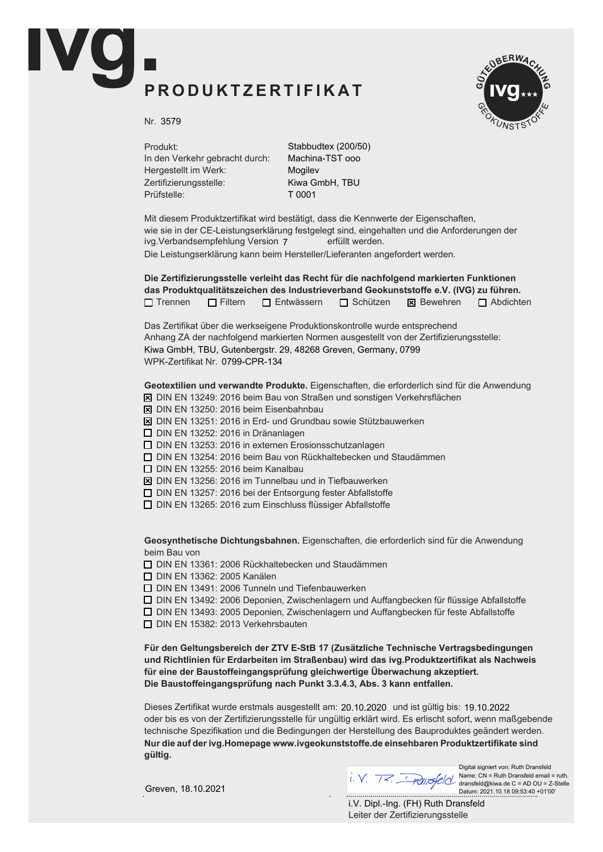## PRODUKTZERTIFIKAT



Nr. 3579

Produkt: In den Verkehr gebracht durch: Hergestellt im Werk: Zertifizierungsstelle: Prüfstelle:

Stabbudtex (200/50) Machina-TST ooo Mogilev Kiwa GmbH, TBU T 0001

Mit diesem Produktzertifikat wird bestätigt, dass die Kennwerte der Eigenschaften, wie sie in der CE-Leistungserklärung festgelegt sind, eingehalten und die Anforderungen der ivg.Verbandsempfehlung Version 7 erfüllt werden. Die Leistungserklärung kann beim Hersteller/Lieferanten angefordert werden.

Die Zertifizierungsstelle verleiht das Recht für die nachfolgend markierten Funktionen das Produktqualitätszeichen des Industrieverband Geokunststoffe e.V. (IVG) zu führen.  $\Box$  Trennen  $\Box$  Filtern  $\Box$  Entwässern  $\Box$  Schützen  $\boxtimes$  Bewehren  $\Box$  Abdichten

Das Zertifikat über die werkseigene Produktionskontrolle wurde entsprechend Anhang ZA der nachfolgend markierten Normen ausgestellt von der Zertifizierungsstelle: WPK-Zertifikat Nr. 0799-CPR-134 Kiwa GmbH, TBU, Gutenbergstr. 29, 48268 Greven, Germany, 0799

Geotextilien und verwandte Produkte. Eigenschaften, die erforderlich sind für die Anwendung

- $\overline{X}$  DIN EN 13249: 2016 beim Bau von Straßen und sonstigen Verkehrsflächen
- $\boxtimes$  DIN EN 13250: 2016 beim Eisenbahnbau
- $\boxtimes$  DIN EN 13251: 2016 in Erd- und Grundbau sowie Stützbauwerken
- $\Box$  DIN EN 13252: 2016 in Dränanlagen
- $\Box$  DIN EN 13253: 2016 in externen Erosionsschutzanlagen
- $\Box$  DIN EN 13254: 2016 beim Bau von Rückhaltebecken und Staudämmen
- $\Box$  DIN EN 13255: 2016 beim Kanalbau
- $\boxtimes$  DIN EN 13256: 2016 im Tunnelbau und in Tiefbauwerken
- $\Box$  DIN EN 13257: 2016 bei der Entsorgung fester Abfallstoffe
- $\Box$  DIN EN 13265: 2016 zum Einschluss flüssiger Abfallstoffe

Geosynthetische Dichtungsbahnen. Eigenschaften, die erforderlich sind für die Anwendung beim Bau von

 $\Box$  DIN EN 13361: 2006 Rückhaltebecken und Staudämmen

**D** DIN EN 13362: 2005 Kanälen

 $\Box$  DIN EN 13491: 2006 Tunneln und Tiefenbauwerken

 $\Box$  DIN EN 13492: 2006 Deponien, Zwischenlagern und Auffangbecken für flüssige Abfallstoffe

 $\Box$  DIN EN 13493: 2005 Deponien, Zwischenlagern und Auffangbecken für feste Abfallstoffe

 $\Box$  DIN EN 15382: 2013 Verkehrsbauten

Für den Geltungsbereich der ZTV E-StB 17 (Zusätzliche Technische Vertragsbedingungen und Richtlinien für Erdarbeiten im Straßenbau) wird das ivg.Produktzertifikat als Nachweis für eine der Baustoffeingangsprüfung gleichwertige Überwachung akzeptiert. Die Baustoffeingangsprüfung nach Punkt 3.3.4.3, Abs. 3 kann entfallen.

Dieses Zertifikat wurde erstmals ausgestellt am: 20.10.2020 und ist gültig bis: 19.10.2022 oder bis es von der Zertifizierungsstelle für ungültig erklärt wird. Es erlischt sofort, wenn maßgebende technische Spezifikation und die Bedingungen der Herstellung des Bauproduktes geändert werden. Nur die auf der ivg. Homepage www.ivgeokunststoffe. de einsehbaren Produktzertifikate sind aültia.

Greven, 18.10.2021

Digital signiert von: Ruth Dransfeld Name: CN = Ruth Dransfeld email = ruth. dransfeld@kiwa.de C = AD OU = Z-Stelle Datum: 2021.10.18 09:53:40 +01'00'

Leiter der Zertifizierungsstelle i.V. Dipl.-Ing. (FH) Ruth Dransfeld